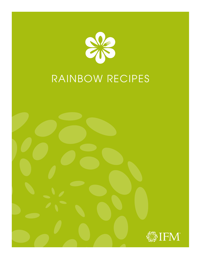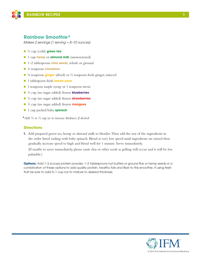

### **Rainbow Smoothie\***

*Makes 2 servings (1 serving ≈ 8–10 ounces)*

- n ½ cup (cold) **green tea**
- 1 cup **hemp** or **almond milk** (unsweetened)
- 1–2 tablespoons **chia seeds**, whole or ground
- n ¼ teaspoon **cinnamon**
- <sup>1</sup>/<sub>8</sub> teaspoon **ginger** (dried) or <sup>1</sup>/<sub>2</sub> teaspoon fresh ginger, minced
- 1 tablespoon fresh **lemon juice**
- $\blacksquare$  1 teaspoon maple syrup or 1 teaspoon stevia
- n ½ cup (no sugar added) frozen **blueberries**
- n ½ cup (no sugar added) frozen **strawberries**
- n ½ cup (no sugar added) frozen **mangoes**
- 1 cup packed baby **spinach**

**\****Add ¼ to ½ cup ice to increase thickness if desired* 

### **Directions**

**1.** Add prepared green tea, hemp or almond milk to blender. Then add the rest of the ingredients in the order listed ending with baby spinach. Blend at very low speed until ingredients are mixed then gradually increase speed to high and blend well for 1 minute. Serve immediately.

(If unable to serve immediately, please omit chia or other seeds as gelling will occur and it will be less palatable.)

**Options:** Add 1-2 scoops protein powder, 1-2 tablespoons nut butters or ground flax or hemp seeds or a combination of these options to add quality protein, healthy fats and fiber to this smoothie. If using fresh fruit be sure to add ½–1 cup ice to mixture to desired thickness.

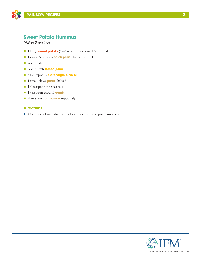

# **Sweet Potato Hummus**

*Makes 8 servings* 

- 1 large **sweet potato** (12–14 ounces), cooked & mashed
- 1 can (15 ounces) **chick peas**, drained, rinsed
- $\blacksquare$  ¼ cup tahini
- n ¼ cup fresh **lemon juice**
- n 3 tablespoons **extra-virgin olive oil**
- n 1 small clove **garlic**, halved
- $\blacksquare$  1½ teaspoon fine sea salt
- n 1 teaspoon ground **cumin**
- **n** <sup>1</sup>/<sub>2</sub> teaspoon **cinnamon** (optional)

### **Directions**

**1.** Combine all ingredients in a food processor, and purée until smooth.

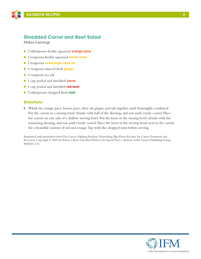

# **Shredded Carrot and Beet Salad**

*Makes 4 servings*

- n 2 tablespoons freshly squeezed **orange juice**
- n 2 teaspoons freshly squeezed **lemon juice**
- **n** 2 teaspoons **extra-virgin olive oil**
- ½ teaspoon minced fresh **ginger**
- $\blacksquare$  ¼ teaspoon sea salt
- n 1 cup peeled and shredded **carrot**
- n 1 cup peeled and shredded **red beet**
- n 2 tablespoons chopped fresh **mint**

### **Directions**

**1.** Whisk the orange juice, lemon juice, olive oil, ginger, and salt together until thoroughly combined. Put the carrots in a mixing bowl, drizzle with half of the dressing, and toss until evenly coated. Place the carrots on one side of a shallow serving bowl. Put the beets in the mixing bowl, drizzle with the remaining dressing, and toss until evenly coated. Place the beets in the serving bowl next to the carrots for a beautiful contrast of red and orange. Top with the chopped mint before serving.

Reprinted with permission from The Cancer-Fighting Kitchen: Nourishing, Big-Flavor Recipes for Cancer Treatment and Recovery. Copyright © 2009 by Rebecca Katz with Mat Edelson, Ten Speed Press, a division of the Crown Publishing Group, Berkeley, CA.

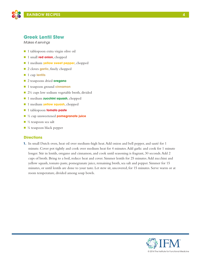

### **Greek Lentil Stew**

*Makes 4 servings*

- 1 tablespoon extra virgin olive oil
- **n** 1 small **red onion**, chopped
- 1 medium **yellow sweet pepper**, chopped
- 2 cloves **garlic**, finely chopped
- 1 cup lentils
- n 2 teaspoons dried **oregano**
- 1 teaspoon ground **cinnamon**
- $\Box$  2½ cups low sodium vegetable broth, divided
- n 1 medium **zucchini squash**, chopped
- **n** 1 medium **yellow squash**, chopped
- **n** 1 tablespoon **tomato paste**
- n ½ cup unsweetened **pomegranate juice**
- $\blacksquare$  ½ teaspoon sea salt
- $\blacksquare$  ¼ teaspoon black pepper

#### **Directions**

**1.** In small Dutch oven, heat oil over medium-high heat. Add onion and bell pepper, and sauté for 1 minute. Cover pot tightly and cook over medium heat for 4 minutes. Add garlic and cook for 1 minute longer. Stir in lentils, oregano and cinnamon, and cook until seasoning is fragrant, 30 seconds. Add 2 cups of broth. Bring to a boil, reduce heat and cover. Simmer lentils for 25 minutes. Add zucchini and yellow squash, tomato paste, pomegranate juice, remaining broth, sea salt and pepper. Simmer for 15 minutes, or until lentils are done to your taste. Let stew sit, uncovered, for 15 minutes. Serve warm or at room temperature, divided among soup bowls.



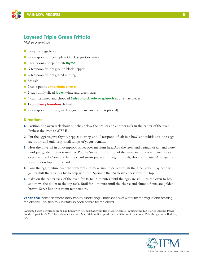

## **Layered Triple Green Frittata**

*Makes 6 servings*

- 6 organic eggs beaten
- 2 tablespoons organic plain Greek yogurt or water
- 2 teaspoons chopped fresh **thyme**
- $\blacksquare$  ¼ teaspoon freshly ground black pepper
- $\blacksquare$  <sup>1</sup>/<sub>8</sub> teaspoon freshly grated nutmeg
- Sea salt
- 2 tablespoons **extra-virgin olive oil**
- 2 cups thinly sliced **leeks**, white and green parts
- n 4 cups stemmed and chopped **Swiss chard, kale or spinach** in bite-size pieces
- **n** 1 cup **cherry tomatoes**, halved
- 2 tablespoons freshly grated organic Parmesan cheese (optional)

### **Directions**

- **1.** Position one oven rack about 6 inches below the broiler and another rack in the center of the oven. Preheat the oven to 375° F.
- **2.** Put the eggs, yogurt, thyme, pepper, nutmeg, and  $\frac{1}{2}$  teaspoon of salt in a bowl and whisk until the eggs are frothy and only very small lumps of yogurt remain.
- **3.** Heat the olive oil in an ovenproof skillet over medium heat. Add the leeks and a pinch of salt and sauté until just golden, about 6 minutes. Put the Swiss chard on top of the leeks and sprinkle a pinch of salt over the chard. Cover and let the chard steam just until it begins to wilt, about 2 minutes. Arrange the tomatoes on top of the chard.
- **4.** Pour the egg mixture over the tomatoes and make sure it seeps through the greens; you may need to gently shift the greens a bit to help with this. Sprinkle the Parmesan cheese over the top.
- **5.** Bake on the center rack of the oven for 10 to 15 minutes, until the eggs are set. Turn the oven to broil and move the skillet to the top rack. Broil for 1 minute, until the cheese and almond flours are golden brown. Serve hot or at room temperature.

**Variations:** Make this frittata dairy free by substituting 2 tablespoons of water for the yogurt and omitting the cheese. Feel free to substitute spinach or kale for the chard.

Reprinted with permission from The Longevity Kitchen: Satisfying Big-Flavor Recipes Featuring the Top 16 Age-Busting Power Foods Copyright © 2013 by Rebecca Katz with Mat Edelson, Ten Speed Press, a division of the Crown Publishing Group, Berkeley, CA.

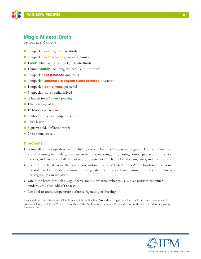

## **Magic Mineral Broth**

*Serving size: 6 quarts*

- 6 unpeeled **carrots**, cut into thirds
- 2 unpeeled **yellow onions**, cut into chunks
- 1 **leek**, white and green parts, cut into thirds
- 1 bunch **celery,** including the heart, cut into thirds
- n 4 unpeeled **red potatoes**, quartered
- n 2 unpeeled **Japanese or regular sweet potatoes**, quartered
- **n** 1 unpeeled **garnet yam**, quartered
- 5 unpeeled cloves garlic, halved
- n ½ bunch fresh **flat-leaf parsley**
- **n** 1 8-inch strip of **kombu**
- $\blacksquare$  12 black peppercorns
- 4 whole allspice or juniper berries
- $\blacksquare$  2 bay leaves
- 8 quarts cold, unfiltered water
- $\Box$  2 teaspoons sea salt

#### **Directions**

- **1.** Rinse all of the vegetables well, including the kombu. In a 12-quart or larger stockpot, combine the carrots, onions, leek, celery, potatoes, sweet potatoes, yam, garlic, parsley, kombu, peppercorns, allspice berries, and bay leaves. Fill the pot with the water to 2 inches below the rim, cover, and bring to a boil.
- **2.** Remove the lid, decrease the heat to low, and simmer for at least 2 hours. As the broth simmers, some of the water will evaporate; add more if the vegetables begin to peek out. Simmer until the full richness of the vegetables can be tasted.
- **3.** Strain the broth through a large, coarse-mesh sieve (remember to use a heat-resistant container underneath), then add salt to taste.
- **4.** Let cool to room temperature before refrigerating or freezing.

Reprinted with permission from The Cancer-Fighting Kitchen: Nourishing, Big-Flavor Recipes for Cancer Treatment and Recovery. Copyright © 2009 by Rebecca Katz with Mat Edelson, Ten Speed Press, a division of the Crown Publishing Group, Berkeley, CA.

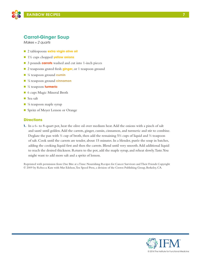

# **Carrot-Ginger Soup**

*Makes ≈ 2 quarts*

- **n** 2 tablespoons **extra virgin olive oil**
- n 1½ cups chopped **yellow onions**
- 3 pounds **carrots** washed and cut into 1-inch pieces
- 2 teaspoons grated fresh **ginger**, or 1 teaspoon ground
- n ¼ teaspoon ground **cumin**
- <sup>1/8</sup> teaspoon ground **cinnamon**
- n ¼ teaspoon **turmeric**
- 6 cups Magic Mineral Broth
- $\blacksquare$  Sea salt
- $\blacksquare$  ¼ teaspoon maple syrup
- Spritz of Meyer Lemon or Orange

#### **Directions**

**1.** In a 6- to 8-quart pot, heat the olive oil over medium heat. Add the onions with a pinch of salt and sauté until golden. Add the carrots, ginger, cumin, cinnamon, and turmeric and stir to combine. Deglaze the pan with  $\frac{1}{2}$  cup of broth, then add the remaining 5<sup>1</sup>/<sub>2</sub> cups of liquid and  $\frac{1}{2}$  teaspoon of salt. Cook until the carrots are tender, about 15 minutes. In a blender, purée the soup in batches, adding the cooking liquid first and then the carrots. Blend until very smooth. Add additional liquid to reach the desired thickness. Return to the pot, add the maple syrup, and reheat slowly. Taste. You might want to add more salt and a spritz of lemon.

Reprinted with permission from One Bite at a Time: Nourishing Recipes for Cancer Survivors and Their Friends Copyright © 2009 by Rebecca Katz with Mat Edelson, Ten Speed Press, a division of the Crown Publishing Group, Berkeley, CA.

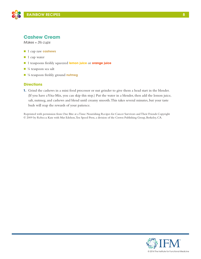

### **Cashew Cream**

*Makes ≈ 3½ cups*

- n 1 cup raw **cashews**
- $\blacksquare$  1 cup water
- n 1 teaspoons freshly squeezed **lemon juice** or **orange juice**
- $\blacksquare$  ¼ teaspoon sea salt
- <sup>1</sup>/<sub>8</sub> teaspoon freshly ground **nutmeg**

#### **Directions**

**1.** Grind the cashews in a mini food processor or nut grinder to give them a head start in the blender. (If you have a Vita-Mix, you can skip this step.) Put the water in a blender, then add the lemon juice, salt, nutmeg, and cashews and blend until creamy smooth. This takes several minutes, but your taste buds will reap the rewards of your patience.

Reprinted with permission from One Bite at a Time: Nourishing Recipes for Cancer Survivors and Their Friends Copyright © 2009 by Rebecca Katz with Mat Edelson, Ten Speed Press, a division of the Crown Publishing Group, Berkeley, CA.